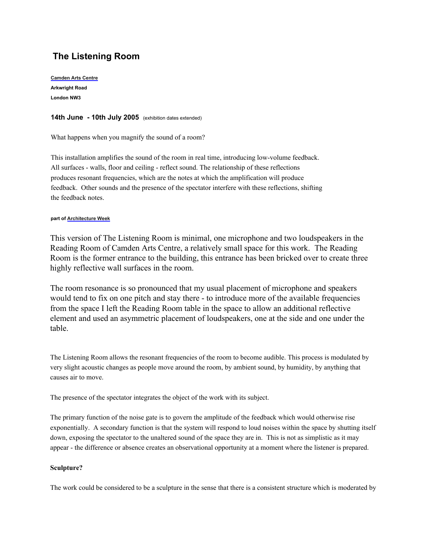# **The Listening Room**

**[Camden Arts Centre](http://www.camdenartscentre.org/about_us.asp) Arkwright Road London NW3**

## **14th June - 10th July 2005** (exhibition dates extended)

What happens when you magnify the sound of a room?

This installation amplifies the sound of the room in real time, introducing low-volume feedback. All surfaces - walls, floor and ceiling - reflect sound. The relationship of these reflections produces resonant frequencies, which are the notes at which the amplification will produce feedback. Other sounds and the presence of the spectator interfere with these reflections, shifting the feedback notes.

## **part of [Architecture Week](http://www.architectureweek.org.uk/)**

This version of The Listening Room is minimal, one microphone and two loudspeakers in the Reading Room of Camden Arts Centre, a relatively small space for this work. The Reading Room is the former entrance to the building, this entrance has been bricked over to create three highly reflective wall surfaces in the room.

The room resonance is so pronounced that my usual placement of microphone and speakers would tend to fix on one pitch and stay there - to introduce more of the available frequencies from the space I left the Reading Room table in the space to allow an additional reflective element and used an asymmetric placement of loudspeakers, one at the side and one under the table.

The Listening Room allows the resonant frequencies of the room to become audible. This process is modulated by very slight acoustic changes as people move around the room, by ambient sound, by humidity, by anything that causes air to move.

The presence of the spectator integrates the object of the work with its subject.

The primary function of the noise gate is to govern the amplitude of the feedback which would otherwise rise exponentially. A secondary function is that the system will respond to loud noises within the space by shutting itself down, exposing the spectator to the unaltered sound of the space they are in. This is not as simplistic as it may appear - the difference or absence creates an observational opportunity at a moment where the listener is prepared.

# **Sculpture?**

The work could be considered to be a sculpture in the sense that there is a consistent structure which is moderated by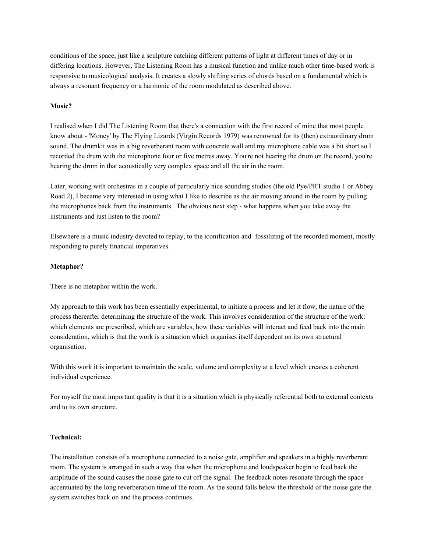conditions of the space, just like a sculpture catching different patterns of light at different times of day or in differing locations. However, The Listening Room has a musical function and unlike much other time-based work is responsive to musicological analysis. It creates a slowly shifting series of chords based on a fundamental which is always a resonant frequency or a harmonic of the room modulated as described above.

## **Music?**

I realised when I did The Listening Room that there's a connection with the first record of mine that most people know about - 'Money' by The Flying Lizards (Virgin Records 1979) was renowned for its (then) extraordinary drum sound. The drumkit was in a big reverberant room with concrete wall and my microphone cable was a bit short so I recorded the drum with the microphone four or five metres away. You're not hearing the drum on the record, you're hearing the drum in that acoustically very complex space and all the air in the room.

Later, working with orchestras in a couple of particularly nice sounding studios (the old Pye/PRT studio 1 or Abbey Road 2), I became very interested in using what I like to describe as the air moving around in the room by pulling the microphones back from the instruments. The obvious next step - what happens when you take away the instruments and just listen to the room?

Elsewhere is a music industry devoted to replay, to the iconification and fossilizing of the recorded moment, mostly responding to purely financial imperatives.

## **Metaphor?**

There is no metaphor within the work.

My approach to this work has been essentially experimental, to initiate a process and let it flow, the nature of the process thereafter determining the structure of the work. This involves consideration of the structure of the work: which elements are prescribed, which are variables, how these variables will interact and feed back into the main consideration, which is that the work is a situation which organises itself dependent on its own structural organisation.

With this work it is important to maintain the scale, volume and complexity at a level which creates a coherent individual experience.

For myself the most important quality is that it is a situation which is physically referential both to external contexts and to its own structure.

## **Technical:**

The installation consists of a microphone connected to a noise gate, amplifier and speakers in a highly reverberant room. The system is arranged in such a way that when the microphone and loudspeaker begin to feed back the amplitude of the sound causes the noise gate to cut off the signal. The feedback notes resonate through the space accentuated by the long reverberation time of the room. As the sound falls below the threshold of the noise gate the system switches back on and the process continues.